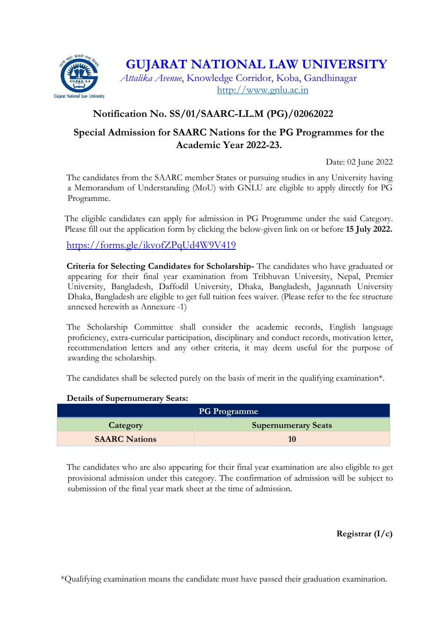

## **GUJARAT NATIONAL LAW UNIVERSITY**

*Attalika Avenue*, Knowledge Corridor, Koba, Gandhinagar [http://www.gnlu.ac.in](http://www.gnlu.ac.in/)

### **Notification No. SS/01/SAARC-LL.M (PG)/02062022**

## **Special Admission for SAARC Nations for the PG Programmes for the Academic Year 2022-23.**

Date: 02 June 2022

The candidates from the SAARC member States or pursuing studies in any University having a Memorandum of Understanding (MoU) with GNLU are eligible to apply directly for PG Programme.

The eligible candidates can apply for admission in PG Programme under the said Category. Please fill out the application form by clicking the below-given link on or before **15 July 2022.**

<https://forms.gle/ikvofZPqUd4W9V419>

**Criteria for Selecting Candidates for Scholarship-** The candidates who have graduated or appearing for their final year examination from Tribhuvan University, Nepal, Premier University, Bangladesh, Daffodil University, Dhaka, Bangladesh, Jagannath University Dhaka, Bangladesh are eligible to get full tuition fees waiver. (Please refer to the fee structure annexed herewith as Annexure -1)

The Scholarship Committee shall consider the academic records, English language proficiency, extra-curricular participation, disciplinary and conduct records, motivation letter, recommendation letters and any other criteria, it may deem useful for the purpose of awarding the scholarship.

The candidates shall be selected purely on the basis of merit in the qualifying examination\*.

#### **Details of Supernumerary Seats:**

| <b>PG Programme</b>  |                            |
|----------------------|----------------------------|
| Category             | <b>Supernumerary Seats</b> |
| <b>SAARC Nations</b> |                            |

The candidates who are also appearing for their final year examination are also eligible to get provisional admission under this category. The confirmation of admission will be subject to submission of the final year mark sheet at the time of admission.

**Registrar (I/c)**

\*Qualifying examination means the candidate must have passed their graduation examination.